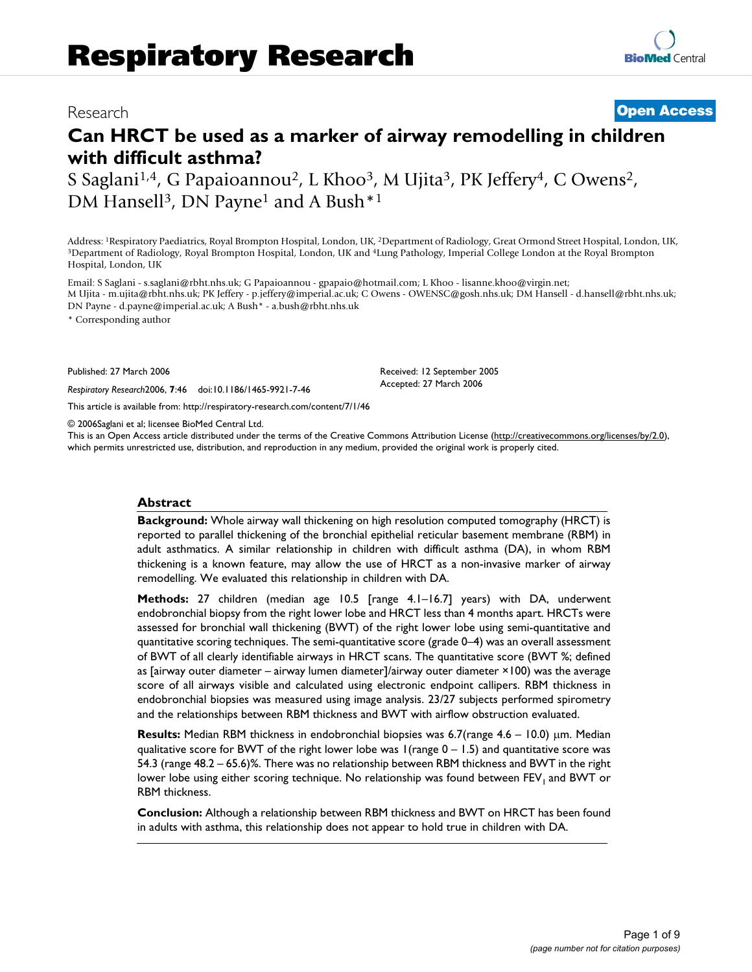# Research **[Open Access](http://www.biomedcentral.com/info/about/charter/)**

# **Can HRCT be used as a marker of airway remodelling in children with difficult asthma?**

S Saglani<sup>1,4</sup>, G Papaioannou<sup>2</sup>, L Khoo<sup>3</sup>, M Ujita<sup>3</sup>, PK Jeffery<sup>4</sup>, C Owens<sup>2</sup>, DM Hansell<sup>3</sup>, DN Payne<sup>1</sup> and A Bush<sup>\*1</sup>

Address: <sup>1</sup>Respiratory Paediatrics, Royal Brompton Hospital, London, UK, <sup>2</sup>Department of Radiology, Great Ormond Street Hospital, London, UK, <sup>3</sup>Department of Radiology, Royal Brompton Hospital, 10ndon, DK, <sup>3</sup>Department Hospital, London, UK

Email: S Saglani - s.saglani@rbht.nhs.uk; G Papaioannou - gpapaio@hotmail.com; L Khoo - lisanne.khoo@virgin.net; M Ujita - m.ujita@rbht.nhs.uk; PK Jeffery - p.jeffery@imperial.ac.uk; C Owens - OWENSC@gosh.nhs.uk; DM Hansell - d.hansell@rbht.nhs.uk; DN Payne - d.payne@imperial.ac.uk; A Bush\* - a.bush@rbht.nhs.uk

> Received: 12 September 2005 Accepted: 27 March 2006

\* Corresponding author

Published: 27 March 2006

*Respiratory Research*2006, **7**:46 doi:10.1186/1465-9921-7-46

[This article is available from: http://respiratory-research.com/content/7/1/46](http://respiratory-research.com/content/7/1/46)

© 2006Saglani et al; licensee BioMed Central Ltd.

This is an Open Access article distributed under the terms of the Creative Commons Attribution License [\(http://creativecommons.org/licenses/by/2.0\)](http://creativecommons.org/licenses/by/2.0), which permits unrestricted use, distribution, and reproduction in any medium, provided the original work is properly cited.

### **Abstract**

**Background:** Whole airway wall thickening on high resolution computed tomography (HRCT) is reported to parallel thickening of the bronchial epithelial reticular basement membrane (RBM) in adult asthmatics. A similar relationship in children with difficult asthma (DA), in whom RBM thickening is a known feature, may allow the use of HRCT as a non-invasive marker of airway remodelling. We evaluated this relationship in children with DA.

**Methods:** 27 children (median age 10.5 [range 4.1–16.7] years) with DA, underwent endobronchial biopsy from the right lower lobe and HRCT less than 4 months apart. HRCTs were assessed for bronchial wall thickening (BWT) of the right lower lobe using semi-quantitative and quantitative scoring techniques. The semi-quantitative score (grade 0–4) was an overall assessment of BWT of all clearly identifiable airways in HRCT scans. The quantitative score (BWT %; defined as [airway outer diameter – airway lumen diameter]/airway outer diameter ×100) was the average score of all airways visible and calculated using electronic endpoint callipers. RBM thickness in endobronchial biopsies was measured using image analysis. 23/27 subjects performed spirometry and the relationships between RBM thickness and BWT with airflow obstruction evaluated.

**Results:** Median RBM thickness in endobronchial biopsies was 6.7(range 4.6 – 10.0) µm. Median qualitative score for BWT of the right lower lobe was  $1$  (range  $0 - 1.5$ ) and quantitative score was 54.3 (range 48.2 – 65.6)%. There was no relationship between RBM thickness and BWT in the right lower lobe using either scoring technique. No relationship was found between FEV<sub>1</sub> and BWT or RBM thickness.

**Conclusion:** Although a relationship between RBM thickness and BWT on HRCT has been found in adults with asthma, this relationship does not appear to hold true in children with DA.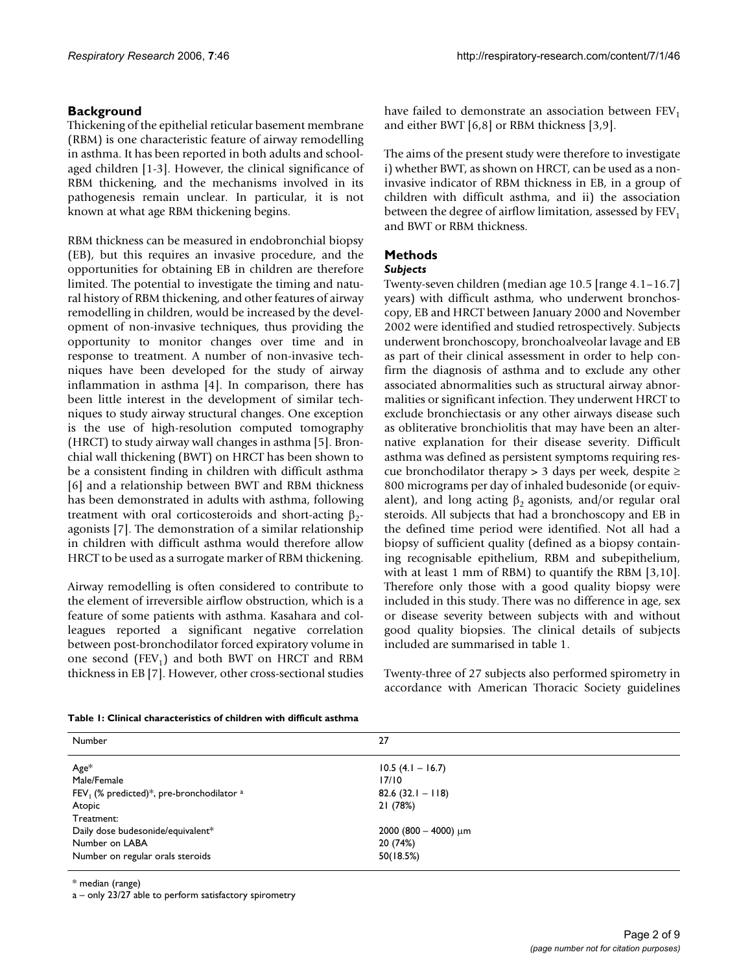# **Background**

Thickening of the epithelial reticular basement membrane (RBM) is one characteristic feature of airway remodelling in asthma. It has been reported in both adults and schoolaged children [1-3]. However, the clinical significance of RBM thickening, and the mechanisms involved in its pathogenesis remain unclear. In particular, it is not known at what age RBM thickening begins.

RBM thickness can be measured in endobronchial biopsy (EB), but this requires an invasive procedure, and the opportunities for obtaining EB in children are therefore limited. The potential to investigate the timing and natural history of RBM thickening, and other features of airway remodelling in children, would be increased by the development of non-invasive techniques, thus providing the opportunity to monitor changes over time and in response to treatment. A number of non-invasive techniques have been developed for the study of airway inflammation in asthma [4]. In comparison, there has been little interest in the development of similar techniques to study airway structural changes. One exception is the use of high-resolution computed tomography (HRCT) to study airway wall changes in asthma [5]. Bronchial wall thickening (BWT) on HRCT has been shown to be a consistent finding in children with difficult asthma [6] and a relationship between BWT and RBM thickness has been demonstrated in adults with asthma, following treatment with oral corticosteroids and short-acting  $β_2$ agonists [7]. The demonstration of a similar relationship in children with difficult asthma would therefore allow HRCT to be used as a surrogate marker of RBM thickening.

Airway remodelling is often considered to contribute to the element of irreversible airflow obstruction, which is a feature of some patients with asthma. Kasahara and colleagues reported a significant negative correlation between post-bronchodilator forced expiratory volume in one second  $(FEV_1)$  and both BWT on HRCT and RBM thickness in EB [7]. However, other cross-sectional studies have failed to demonstrate an association between  $FEV<sub>1</sub>$ and either BWT [6,8] or RBM thickness [3,9].

The aims of the present study were therefore to investigate i) whether BWT, as shown on HRCT, can be used as a noninvasive indicator of RBM thickness in EB, in a group of children with difficult asthma, and ii) the association between the degree of airflow limitation, assessed by  $\text{FEV}_1$ and BWT or RBM thickness.

# **Methods**

# *Subjects*

Twenty-seven children (median age 10.5 [range 4.1–16.7] years) with difficult asthma, who underwent bronchoscopy, EB and HRCT between January 2000 and November 2002 were identified and studied retrospectively. Subjects underwent bronchoscopy, bronchoalveolar lavage and EB as part of their clinical assessment in order to help confirm the diagnosis of asthma and to exclude any other associated abnormalities such as structural airway abnormalities or significant infection. They underwent HRCT to exclude bronchiectasis or any other airways disease such as obliterative bronchiolitis that may have been an alternative explanation for their disease severity. Difficult asthma was defined as persistent symptoms requiring rescue bronchodilator therapy > 3 days per week, despite ≥ 800 micrograms per day of inhaled budesonide (or equivalent), and long acting  $\beta_2$  agonists, and/or regular oral steroids. All subjects that had a bronchoscopy and EB in the defined time period were identified. Not all had a biopsy of sufficient quality (defined as a biopsy containing recognisable epithelium, RBM and subepithelium, with at least 1 mm of RBM) to quantify the RBM [3,10]. Therefore only those with a good quality biopsy were included in this study. There was no difference in age, sex or disease severity between subjects with and without good quality biopsies. The clinical details of subjects included are summarised in table 1.

Twenty-three of 27 subjects also performed spirometry in accordance with American Thoracic Society guidelines

|  | Table 1: Clinical characteristics of children with difficult asthma |  |  |
|--|---------------------------------------------------------------------|--|--|
|  |                                                                     |  |  |

| Number                                                  | 27                        |
|---------------------------------------------------------|---------------------------|
| $Age*$                                                  | $10.5$ (4.1 – 16.7)       |
| Male/Female                                             | 17/10                     |
| FEV <sub>1</sub> (% predicted)*, pre-bronchodilator $a$ | $82.6(32.1 - 118)$        |
| Atopic                                                  | 21 (78%)                  |
| Treatment:                                              |                           |
| Daily dose budesonide/equivalent*                       | 2000 (800 - 4000) $\mu$ m |
| Number on LABA                                          | 20 (74%)                  |
| Number on regular orals steroids                        | 50(18.5%)                 |

\* median (range)

a – only 23/27 able to perform satisfactory spirometry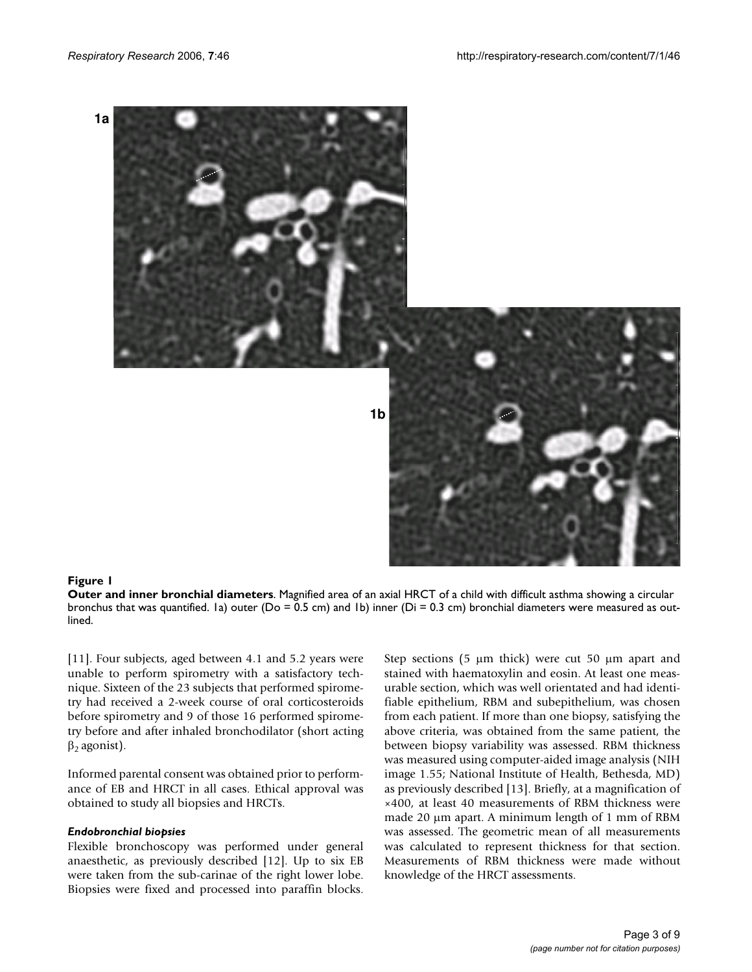

#### **Figure 1**

**Outer and inner bronchial diameters**. Magnified area of an axial HRCT of a child with difficult asthma showing a circular bronchus that was quantified. Ia) outer ( $Do = 0.5$  cm) and Ib) inner ( $Di = 0.3$  cm) bronchial diameters were measured as outlined.

[[11](#page-7-0)]. Four subjects, aged between 4.1 and 5.2 years were unable to perform spirometry with a satisfactory technique. Sixteen of the 23 subjects that performed spirometry had received a 2-week course of oral corticosteroids before spirometry and 9 of those 16 performed spirometry before and after inhaled bronchodilator (short acting  $β_2$  agonist).

Informed parental consent was obtained prior to performance of EB and HRCT in all cases. Ethical approval was obtained to study all biopsies and HRCTs.

#### *Endobronchial biopsies*

Flexible bronchoscopy was performed under general anaesthetic, as previously described [12]. Up to six EB were taken from the sub-carinae of the right lower lobe. Biopsies were fixed and processed into paraffin blocks.

Step sections (5  $\mu$ m thick) were cut 50  $\mu$ m apart and stained with haematoxylin and eosin. At least one measurable section, which was well orientated and had identifiable epithelium, RBM and subepithelium, was chosen from each patient. If more than one biopsy, satisfying the above criteria, was obtained from the same patient, the between biopsy variability was assessed. RBM thickness was measured using computer-aided image analysis (NIH image 1.55; National Institute of Health, Bethesda, MD) as previously described [13]. Briefly, at a magnification of ×400, at least 40 measurements of RBM thickness were made 20  $\mu$ m apart. A minimum length of 1 mm of RBM was assessed. The geometric mean of all measurements was calculated to represent thickness for that section. Measurements of RBM thickness were made without knowledge of the HRCT assessments.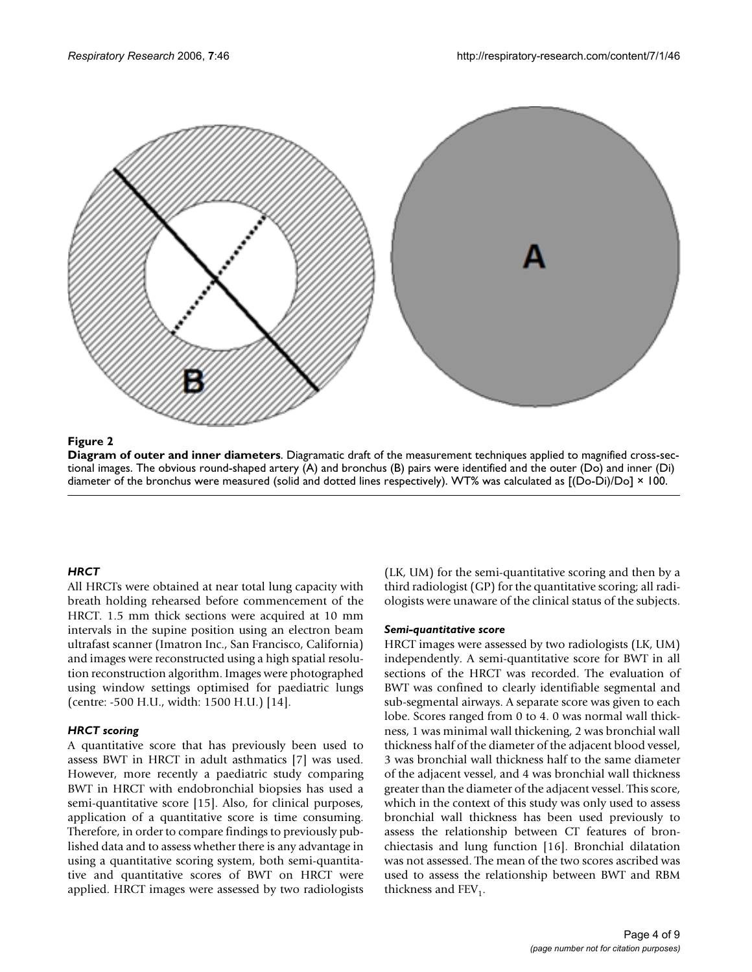

# **Figure 2**

**Diagram of outer and inner diameters**. Diagramatic draft of the measurement techniques applied to magnified cross-sectional images. The obvious round-shaped artery (A) and bronchus (B) pairs were identified and the outer (Do) and inner (Di) diameter of the bronchus were measured (solid and dotted lines respectively). WT% was calculated as [(Do-Di)/Do] × 100.

# *HRCT*

All HRCTs were obtained at near total lung capacity with breath holding rehearsed before commencement of the HRCT. 1.5 mm thick sections were acquired at 10 mm intervals in the supine position using an electron beam ultrafast scanner (Imatron Inc., San Francisco, California) and images were reconstructed using a high spatial resolution reconstruction algorithm. Images were photographed using window settings optimised for paediatric lungs (centre: -500 H.U., width: 1500 H.U.) [14].

# *HRCT scoring*

A quantitative score that has previously been used to assess BWT in HRCT in adult asthmatics [7] was used. However, more recently a paediatric study comparing BWT in HRCT with endobronchial biopsies has used a semi-quantitative score [15]. Also, for clinical purposes, application of a quantitative score is time consuming. Therefore, in order to compare findings to previously published data and to assess whether there is any advantage in using a quantitative scoring system, both semi-quantitative and quantitative scores of BWT on HRCT were applied. HRCT images were assessed by two radiologists (LK, UM) for the semi-quantitative scoring and then by a third radiologist (GP) for the quantitative scoring; all radiologists were unaware of the clinical status of the subjects.

# *Semi-quantitative score*

HRCT images were assessed by two radiologists (LK, UM) independently. A semi-quantitative score for BWT in all sections of the HRCT was recorded. The evaluation of BWT was confined to clearly identifiable segmental and sub-segmental airways. A separate score was given to each lobe. Scores ranged from 0 to 4. 0 was normal wall thickness, 1 was minimal wall thickening, 2 was bronchial wall thickness half of the diameter of the adjacent blood vessel, 3 was bronchial wall thickness half to the same diameter of the adjacent vessel, and 4 was bronchial wall thickness greater than the diameter of the adjacent vessel. This score, which in the context of this study was only used to assess bronchial wall thickness has been used previously to assess the relationship between CT features of bronchiectasis and lung function [16]. Bronchial dilatation was not assessed. The mean of the two scores ascribed was used to assess the relationship between BWT and RBM thickness and  $FEV<sub>1</sub>$ .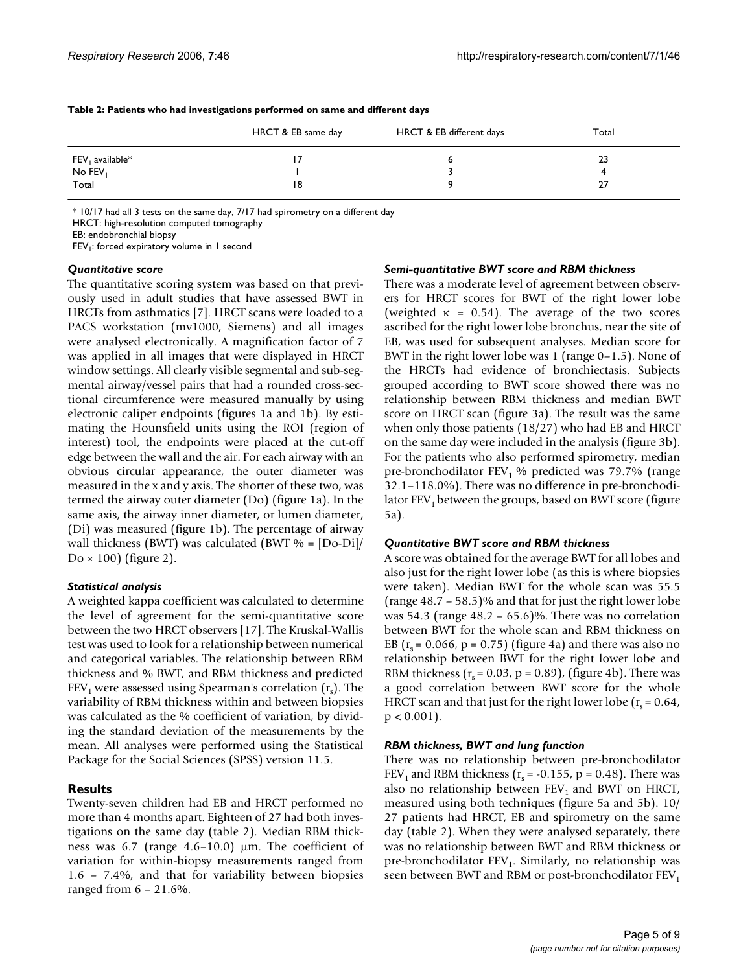|                          | HRCT & EB same day | HRCT & EB different days | Total |
|--------------------------|--------------------|--------------------------|-------|
| $FEV_1$ available ${}^*$ |                    |                          | 23    |
| No FEV                   |                    |                          |       |
| Total                    | 18                 |                          | 27    |

**Table 2: Patients who had investigations performed on same and different days**

\* 10/17 had all 3 tests on the same day, 7/17 had spirometry on a different day

HRCT: high-resolution computed tomography

EB: endobronchial biopsy

 $FEV<sub>1</sub>$ : forced expiratory volume in 1 second

#### *Quantitative score*

The quantitative scoring system was based on that previously used in adult studies that have assessed BWT in HRCTs from asthmatics [7]. HRCT scans were loaded to a PACS workstation (mv1000, Siemens) and all images were analysed electronically. A magnification factor of 7 was applied in all images that were displayed in HRCT window settings. All clearly visible segmental and sub-segmental airway/vessel pairs that had a rounded cross-sectional circumference were measured manually by using electronic caliper endpoints (figures 1a and 1b). By estimating the Hounsfield units using the ROI (region of interest) tool, the endpoints were placed at the cut-off edge between the wall and the air. For each airway with an obvious circular appearance, the outer diameter was measured in the x and y axis. The shorter of these two, was termed the airway outer diameter (Do) (figure 1a). In the same axis, the airway inner diameter, or lumen diameter, (Di) was measured (figure 1b). The percentage of airway wall thickness (BWT) was calculated (BWT  $% = [Do-Di]$ /  $Do \times 100$ ) (figure 2).

### *Statistical analysis*

A weighted kappa coefficient was calculated to determine the level of agreement for the semi-quantitative score between the two HRCT observers [17]. The Kruskal-Wallis test was used to look for a relationship between numerical and categorical variables. The relationship between RBM thickness and % BWT, and RBM thickness and predicted  $FEV<sub>1</sub>$  were assessed using Spearman's correlation  $(r<sub>s</sub>)$ . The variability of RBM thickness within and between biopsies was calculated as the % coefficient of variation, by dividing the standard deviation of the measurements by the mean. All analyses were performed using the Statistical Package for the Social Sciences (SPSS) version 11.5.

# **Results**

Twenty-seven children had EB and HRCT performed no more than 4 months apart. Eighteen of 27 had both investigations on the same day (table 2). Median RBM thickness was 6.7 (range 4.6–10.0) µm. The coefficient of variation for within-biopsy measurements ranged from 1.6 – 7.4%, and that for variability between biopsies ranged from 6 – 21.6%.

### *Semi-quantitative BWT score and RBM thickness*

There was a moderate level of agreement between observers for HRCT scores for BWT of the right lower lobe (weighted  $\kappa = 0.54$ ). The average of the two scores ascribed for the right lower lobe bronchus, near the site of EB, was used for subsequent analyses. Median score for BWT in the right lower lobe was 1 (range 0–1.5). None of the HRCTs had evidence of bronchiectasis. Subjects grouped according to BWT score showed there was no relationship between RBM thickness and median BWT score on HRCT scan (figure 3a). The result was the same when only those patients (18/27) who had EB and HRCT on the same day were included in the analysis (figure 3b). For the patients who also performed spirometry, median pre-bronchodilator  $FEV<sub>1</sub>$ % predicted was 79.7% (range 32.1–118.0%). There was no difference in pre-bronchodilator  $FEV<sub>1</sub>$  between the groups, based on BWT score (figure 5a).

### *Quantitative BWT score and RBM thickness*

A score was obtained for the average BWT for all lobes and also just for the right lower lobe (as this is where biopsies were taken). Median BWT for the whole scan was 55.5 (range 48.7 – 58.5)% and that for just the right lower lobe was 54.3 (range 48.2 – 65.6)%. There was no correlation between BWT for the whole scan and RBM thickness on EB ( $r_s$  = 0.066,  $p = 0.75$ ) (figure 4a) and there was also no relationship between BWT for the right lower lobe and RBM thickness  $(r_s = 0.03, p = 0.89)$ , (figure 4b). There was a good correlation between BWT score for the whole HRCT scan and that just for the right lower lobe  $(r_s = 0.64,$  $p < 0.001$ ).

### *RBM thickness, BWT and lung function*

There was no relationship between pre-bronchodilator FEV<sub>1</sub> and RBM thickness ( $r_s$  = -0.155, p = 0.48). There was also no relationship between  $FEV<sub>1</sub>$  and BWT on HRCT, measured using both techniques (figure 5a and 5b). 10/ 27 patients had HRCT, EB and spirometry on the same day (table 2). When they were analysed separately, there was no relationship between BWT and RBM thickness or pre-bronchodilator  $FEV<sub>1</sub>$ . Similarly, no relationship was seen between BWT and RBM or post-bronchodilator  $FEV<sub>1</sub>$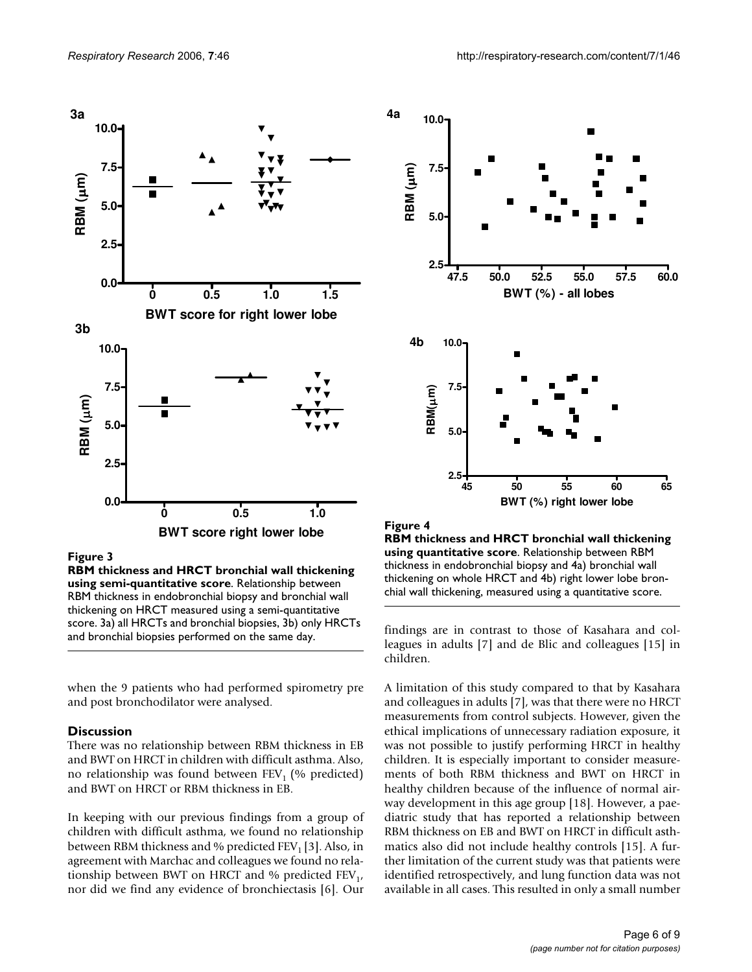

**Figure 3** 

**RBM thickness and HRCT bronchial wall thickening using semi-quantitative score**. Relationship between RBM thickness in endobronchial biopsy and bronchial wall thickening on HRCT measured using a semi-quantitative score. 3a) all HRCTs and bronchial biopsies, 3b) only HRCTs and bronchial biopsies performed on the same day.

when the 9 patients who had performed spirometry pre and post bronchodilator were analysed.

### **Discussion**

There was no relationship between RBM thickness in EB and BWT on HRCT in children with difficult asthma. Also, no relationship was found between  $FEV<sub>1</sub>$  (% predicted) and BWT on HRCT or RBM thickness in EB.

In keeping with our previous findings from a group of children with difficult asthma, we found no relationship between RBM thickness and % predicted  $FEV<sub>1</sub>[3]$ . Also, in agreement with Marchac and colleagues we found no relationship between BWT on HRCT and % predicted  $FEV_1$ , nor did we find any evidence of bronchiectasis [6]. Our



**4a**

**RBM thickness and HRCT bronchial wall thickening using quantitative score**. Relationship between RBM thickness in endobronchial biopsy and 4a) bronchial wall thickening on whole HRCT and 4b) right lower lobe bronchial wall thickening, measured using a quantitative score.

findings are in contrast to those of Kasahara and colleagues in adults [7] and de Blic and colleagues [15] in children.

A limitation of this study compared to that by Kasahara and colleagues in adults [7], was that there were no HRCT measurements from control subjects. However, given the ethical implications of unnecessary radiation exposure, it was not possible to justify performing HRCT in healthy children. It is especially important to consider measurements of both RBM thickness and BWT on HRCT in healthy children because of the influence of normal airway development in this age group [18]. However, a paediatric study that has reported a relationship between RBM thickness on EB and BWT on HRCT in difficult asthmatics also did not include healthy controls [15]. A further limitation of the current study was that patients were identified retrospectively, and lung function data was not available in all cases. This resulted in only a small number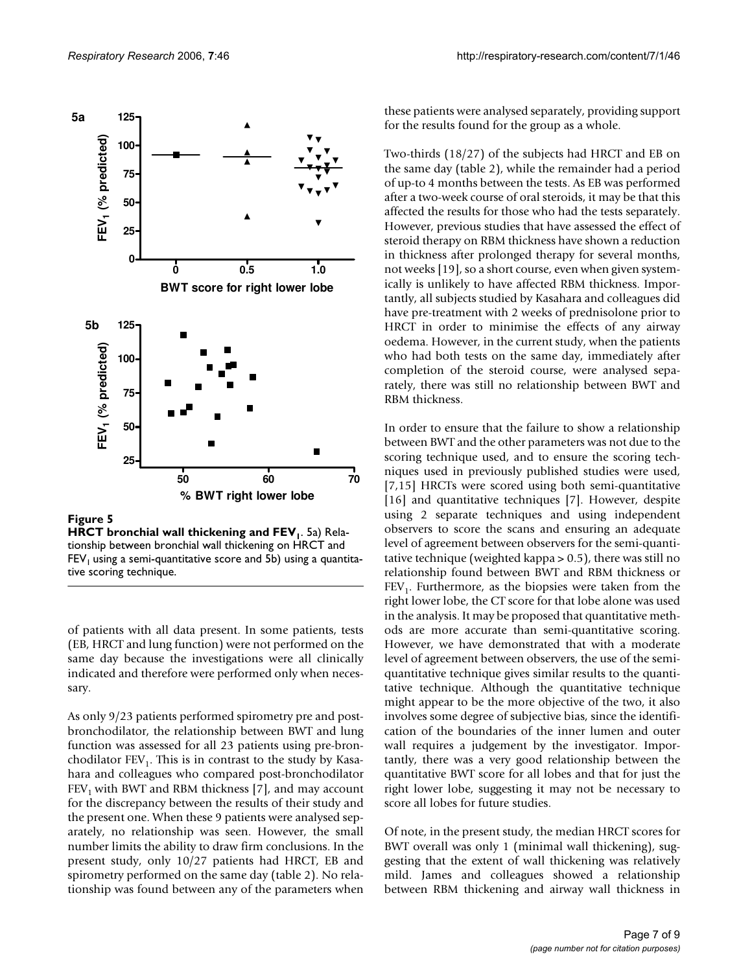

**Figure 5** HRCT bronchial wall this wall thickening and FEU **HRCT bronchial wall thickening and FEV**<sub>I</sub>. 5a) Relationship between bronchial wall thickening on HRCT and  $FEV<sub>1</sub>$  using a semi-quantitative score and 5b) using a quantitative scoring technique.

of patients with all data present. In some patients, tests (EB, HRCT and lung function) were not performed on the same day because the investigations were all clinically indicated and therefore were performed only when necessary.

As only 9/23 patients performed spirometry pre and postbronchodilator, the relationship between BWT and lung function was assessed for all 23 patients using pre-bronchodilator  $FEV<sub>1</sub>$ . This is in contrast to the study by Kasahara and colleagues who compared post-bronchodilator  $FEV<sub>1</sub>$  with BWT and RBM thickness [7], and may account for the discrepancy between the results of their study and the present one. When these 9 patients were analysed separately, no relationship was seen. However, the small number limits the ability to draw firm conclusions. In the present study, only 10/27 patients had HRCT, EB and spirometry performed on the same day (table 2). No relationship was found between any of the parameters when

these patients were analysed separately, providing support for the results found for the group as a whole.

Two-thirds (18/27) of the subjects had HRCT and EB on the same day (table 2), while the remainder had a period of up-to 4 months between the tests. As EB was performed after a two-week course of oral steroids, it may be that this affected the results for those who had the tests separately. However, previous studies that have assessed the effect of steroid therapy on RBM thickness have shown a reduction in thickness after prolonged therapy for several months, not weeks [19], so a short course, even when given systemically is unlikely to have affected RBM thickness. Importantly, all subjects studied by Kasahara and colleagues did have pre-treatment with 2 weeks of prednisolone prior to HRCT in order to minimise the effects of any airway oedema. However, in the current study, when the patients who had both tests on the same day, immediately after completion of the steroid course, were analysed separately, there was still no relationship between BWT and RBM thickness.

In order to ensure that the failure to show a relationship between BWT and the other parameters was not due to the scoring technique used, and to ensure the scoring techniques used in previously published studies were used, [7,15] HRCTs were scored using both semi-quantitative [16] and quantitative techniques [7]. However, despite using 2 separate techniques and using independent observers to score the scans and ensuring an adequate level of agreement between observers for the semi-quantitative technique (weighted kappa > 0.5), there was still no relationship found between BWT and RBM thickness or  $FEV<sub>1</sub>$ . Furthermore, as the biopsies were taken from the right lower lobe, the CT score for that lobe alone was used in the analysis. It may be proposed that quantitative methods are more accurate than semi-quantitative scoring. However, we have demonstrated that with a moderate level of agreement between observers, the use of the semiquantitative technique gives similar results to the quantitative technique. Although the quantitative technique might appear to be the more objective of the two, it also involves some degree of subjective bias, since the identification of the boundaries of the inner lumen and outer wall requires a judgement by the investigator. Importantly, there was a very good relationship between the quantitative BWT score for all lobes and that for just the right lower lobe, suggesting it may not be necessary to score all lobes for future studies.

Of note, in the present study, the median HRCT scores for BWT overall was only 1 (minimal wall thickening), suggesting that the extent of wall thickening was relatively mild. James and colleagues showed a relationship between RBM thickening and airway wall thickness in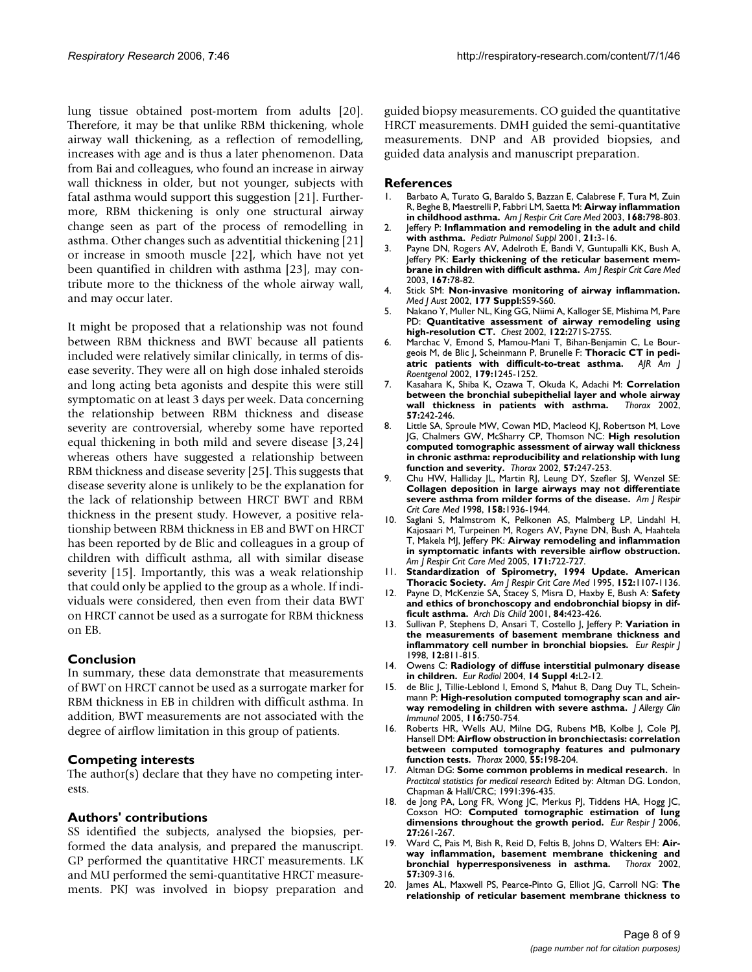lung tissue obtained post-mortem from adults [20]. Therefore, it may be that unlike RBM thickening, whole airway wall thickening, as a reflection of remodelling, increases with age and is thus a later phenomenon. Data from Bai and colleagues, who found an increase in airway wall thickness in older, but not younger, subjects with fatal asthma would support this suggestion [21]. Furthermore, RBM thickening is only one structural airway change seen as part of the process of remodelling in asthma. Other changes such as adventitial thickening [21] or increase in smooth muscle [22], which have not yet been quantified in children with asthma [23], may contribute more to the thickness of the whole airway wall, and may occur later.

It might be proposed that a relationship was not found between RBM thickness and BWT because all patients included were relatively similar clinically, in terms of disease severity. They were all on high dose inhaled steroids and long acting beta agonists and despite this were still symptomatic on at least 3 days per week. Data concerning the relationship between RBM thickness and disease severity are controversial, whereby some have reported equal thickening in both mild and severe disease [3,24] whereas others have suggested a relationship between RBM thickness and disease severity [25]. This suggests that disease severity alone is unlikely to be the explanation for the lack of relationship between HRCT BWT and RBM thickness in the present study. However, a positive relationship between RBM thickness in EB and BWT on HRCT has been reported by de Blic and colleagues in a group of children with difficult asthma, all with similar disease severity [15]. Importantly, this was a weak relationship that could only be applied to the group as a whole. If individuals were considered, then even from their data BWT on HRCT cannot be used as a surrogate for RBM thickness on EB.

### **Conclusion**

In summary, these data demonstrate that measurements of BWT on HRCT cannot be used as a surrogate marker for RBM thickness in EB in children with difficult asthma. In addition, BWT measurements are not associated with the degree of airflow limitation in this group of patients.

### **Competing interests**

The author(s) declare that they have no competing interests.

# **Authors' contributions**

SS identified the subjects, analysed the biopsies, performed the data analysis, and prepared the manuscript. GP performed the quantitative HRCT measurements. LK and MU performed the semi-quantitative HRCT measurements. PKJ was involved in biopsy preparation and guided biopsy measurements. CO guided the quantitative HRCT measurements. DMH guided the semi-quantitative measurements. DNP and AB provided biopsies, and guided data analysis and manuscript preparation.

#### **References**

- 1. Barbato A, Turato G, Baraldo S, Bazzan E, Calabrese F, Tura M, Zuin R, Beghe B, Maestrelli P, Fabbri LM, Saetta M: **[Airway inflammation](http://www.ncbi.nlm.nih.gov/entrez/query.fcgi?cmd=Retrieve&db=PubMed&dopt=Abstract&list_uids=12893650) [in childhood asthma.](http://www.ncbi.nlm.nih.gov/entrez/query.fcgi?cmd=Retrieve&db=PubMed&dopt=Abstract&list_uids=12893650)** *Am J Respir Crit Care Med* 2003, **168:**798-803.
- 2. Jeffery P: **[Inflammation and remodeling in the adult and child](http://www.ncbi.nlm.nih.gov/entrez/query.fcgi?cmd=Retrieve&db=PubMed&dopt=Abstract&list_uids=11475169) [with asthma.](http://www.ncbi.nlm.nih.gov/entrez/query.fcgi?cmd=Retrieve&db=PubMed&dopt=Abstract&list_uids=11475169)** *Pediatr Pulmonol Suppl* 2001, **21:**3-16.
- 3. Payne DN, Rogers AV, Adelroth E, Bandi V, Guntupalli KK, Bush A, Jeffery PK: **[Early thickening of the reticular basement mem](http://www.ncbi.nlm.nih.gov/entrez/query.fcgi?cmd=Retrieve&db=PubMed&dopt=Abstract&list_uids=12502479)[brane in children with difficult asthma.](http://www.ncbi.nlm.nih.gov/entrez/query.fcgi?cmd=Retrieve&db=PubMed&dopt=Abstract&list_uids=12502479)** *Am J Respir Crit Care Med* 2003, **167:**78-82.
- 4. Stick SM: **[Non-invasive monitoring of airway inflammation.](http://www.ncbi.nlm.nih.gov/entrez/query.fcgi?cmd=Retrieve&db=PubMed&dopt=Abstract&list_uids=12225262)** *Med J Aust* 2002, **177 Suppl:**S59-S60.
- 5. Nakano Y, Muller NL, King GG, Niimi A, Kalloger SE, Mishima M, Pare PD: **[Quantitative assessment of airway remodeling using](http://www.ncbi.nlm.nih.gov/entrez/query.fcgi?cmd=Retrieve&db=PubMed&dopt=Abstract&list_uids=12475796) [high-resolution CT.](http://www.ncbi.nlm.nih.gov/entrez/query.fcgi?cmd=Retrieve&db=PubMed&dopt=Abstract&list_uids=12475796)** *Chest* 2002, **122:**271S-275S.
- 6. Marchac V, Emond S, Mamou-Mani T, Bihan-Benjamin C, Le Bourgeois M, de Blic J, Scheinmann P, Brunelle F: **Thoracic CT in pediatric patients with difficult-to-treat asthma.** AIR Am | [atric patients with difficult-to-treat asthma.](http://www.ncbi.nlm.nih.gov/entrez/query.fcgi?cmd=Retrieve&db=PubMed&dopt=Abstract&list_uids=12388508) *Roentgenol* 2002, **179:**1245-1252.
- 7. Kasahara K, Shiba K, Ozawa T, Okuda K, Adachi M: **[Correlation](http://www.ncbi.nlm.nih.gov/entrez/query.fcgi?cmd=Retrieve&db=PubMed&dopt=Abstract&list_uids=11867829) [between the bronchial subepithelial layer and whole airway](http://www.ncbi.nlm.nih.gov/entrez/query.fcgi?cmd=Retrieve&db=PubMed&dopt=Abstract&list_uids=11867829)** [wall thickness in patients with asthma.](http://www.ncbi.nlm.nih.gov/entrez/query.fcgi?cmd=Retrieve&db=PubMed&dopt=Abstract&list_uids=11867829) **57:**242-246.
- 8. Little SA, Sproule MW, Cowan MD, Macleod KJ, Robertson M, Love JG, Chalmers GW, McSharry CP, Thomson NC: **[High resolution](http://www.ncbi.nlm.nih.gov/entrez/query.fcgi?cmd=Retrieve&db=PubMed&dopt=Abstract&list_uids=11867830) computed tomographic assessment of airway wall thickness [in chronic asthma: reproducibility and relationship with lung](http://www.ncbi.nlm.nih.gov/entrez/query.fcgi?cmd=Retrieve&db=PubMed&dopt=Abstract&list_uids=11867830) [function and severity.](http://www.ncbi.nlm.nih.gov/entrez/query.fcgi?cmd=Retrieve&db=PubMed&dopt=Abstract&list_uids=11867830)** *Thorax* 2002, **57:**247-253.
- 9. Chu HW, Halliday JL, Martin RJ, Leung DY, Szefler SJ, Wenzel SE: **[Collagen deposition in large airways may not differentiate](http://www.ncbi.nlm.nih.gov/entrez/query.fcgi?cmd=Retrieve&db=PubMed&dopt=Abstract&list_uids=9847289) [severe asthma from milder forms of the disease.](http://www.ncbi.nlm.nih.gov/entrez/query.fcgi?cmd=Retrieve&db=PubMed&dopt=Abstract&list_uids=9847289)** *Am J Respir Crit Care Med* 1998, **158:**1936-1944.
- 10. Saglani S, Malmstrom K, Pelkonen AS, Malmberg LP, Lindahl H, Kajosaari M, Turpeinen M, Rogers AV, Payne DN, Bush A, Haahtela T, Makela MJ, Jeffery PK: **[Airway remodeling and inflammation](http://www.ncbi.nlm.nih.gov/entrez/query.fcgi?cmd=Retrieve&db=PubMed&dopt=Abstract&list_uids=15657459) [in symptomatic infants with reversible airflow obstruction.](http://www.ncbi.nlm.nih.gov/entrez/query.fcgi?cmd=Retrieve&db=PubMed&dopt=Abstract&list_uids=15657459)** *Am J Respir Crit Care Med* 2005, **171:**722-727.
- <span id="page-7-0"></span>11. **[Standardization of Spirometry, 1994 Update. American](http://www.ncbi.nlm.nih.gov/entrez/query.fcgi?cmd=Retrieve&db=PubMed&dopt=Abstract&list_uids=7663792) [Thoracic Society.](http://www.ncbi.nlm.nih.gov/entrez/query.fcgi?cmd=Retrieve&db=PubMed&dopt=Abstract&list_uids=7663792)** *Am J Respir Crit Care Med* 1995, **152:**1107-1136.
- 12. Payne D, McKenzie SA, Stacey S, Misra D, Haxby E, Bush A: **[Safety](http://www.ncbi.nlm.nih.gov/entrez/query.fcgi?cmd=Retrieve&db=PubMed&dopt=Abstract&list_uids=11316690) [and ethics of bronchoscopy and endobronchial biopsy in dif](http://www.ncbi.nlm.nih.gov/entrez/query.fcgi?cmd=Retrieve&db=PubMed&dopt=Abstract&list_uids=11316690)[ficult asthma.](http://www.ncbi.nlm.nih.gov/entrez/query.fcgi?cmd=Retrieve&db=PubMed&dopt=Abstract&list_uids=11316690)** *Arch Dis Child* 2001, **84:**423-426.
- 13. Sullivan P, Stephens D, Ansari T, Costello J, Jeffery P: **[Variation in](http://www.ncbi.nlm.nih.gov/entrez/query.fcgi?cmd=Retrieve&db=PubMed&dopt=Abstract&list_uids=9817150) [the measurements of basement membrane thickness and](http://www.ncbi.nlm.nih.gov/entrez/query.fcgi?cmd=Retrieve&db=PubMed&dopt=Abstract&list_uids=9817150) [inflammatory cell number in bronchial biopsies.](http://www.ncbi.nlm.nih.gov/entrez/query.fcgi?cmd=Retrieve&db=PubMed&dopt=Abstract&list_uids=9817150)** *Eur Respir J* 1998, **12:**811-815.
- 14. Owens C: **[Radiology of diffuse interstitial pulmonary disease](http://www.ncbi.nlm.nih.gov/entrez/query.fcgi?cmd=Retrieve&db=PubMed&dopt=Abstract&list_uids=14752574) [in children.](http://www.ncbi.nlm.nih.gov/entrez/query.fcgi?cmd=Retrieve&db=PubMed&dopt=Abstract&list_uids=14752574)** *Eur Radiol* 2004, **14 Suppl 4:**L2-12.
- 15. de Blic J, Tillie-Leblond I, Emond S, Mahut B, Dang Duy TL, Scheinmann P: **[High-resolution computed tomography scan and air](http://www.ncbi.nlm.nih.gov/entrez/query.fcgi?cmd=Retrieve&db=PubMed&dopt=Abstract&list_uids=16210046)[way remodeling in children with severe asthma.](http://www.ncbi.nlm.nih.gov/entrez/query.fcgi?cmd=Retrieve&db=PubMed&dopt=Abstract&list_uids=16210046)** *J Allergy Clin Immunol* 2005, **116:**750-754.
- Roberts HR, Wells AU, Milne DG, Rubens MB, Kolbe J, Cole PJ, Hansell DM: **[Airflow obstruction in bronchiectasis: correlation](http://www.ncbi.nlm.nih.gov/entrez/query.fcgi?cmd=Retrieve&db=PubMed&dopt=Abstract&list_uids=10679538) [between computed tomography features and pulmonary](http://www.ncbi.nlm.nih.gov/entrez/query.fcgi?cmd=Retrieve&db=PubMed&dopt=Abstract&list_uids=10679538) [function tests.](http://www.ncbi.nlm.nih.gov/entrez/query.fcgi?cmd=Retrieve&db=PubMed&dopt=Abstract&list_uids=10679538)** *Thorax* 2000, **55:**198-204.
- 17. Altman DG: **Some common problems in medical research.** In *Practitcal statistics for medical research* Edited by: Altman DG. London, Chapman & Hall/CRC; 1991:396-435.
- 18. de Jong PA, Long FR, Wong JC, Merkus PJ, Tiddens HA, Hogg JC, Coxson HO: **[Computed tomographic estimation of lung](http://www.ncbi.nlm.nih.gov/entrez/query.fcgi?cmd=Retrieve&db=PubMed&dopt=Abstract&list_uids=16452578) [dimensions throughout the growth period.](http://www.ncbi.nlm.nih.gov/entrez/query.fcgi?cmd=Retrieve&db=PubMed&dopt=Abstract&list_uids=16452578)** *Eur Respir J* 2006, **27:**261-267.
- 19. Ward C, Pais M, Bish R, Reid D, Feltis B, Johns D, Walters EH: **[Air](http://www.ncbi.nlm.nih.gov/entrez/query.fcgi?cmd=Retrieve&db=PubMed&dopt=Abstract&list_uids=11923548)[way inflammation, basement membrane thickening and](http://www.ncbi.nlm.nih.gov/entrez/query.fcgi?cmd=Retrieve&db=PubMed&dopt=Abstract&list_uids=11923548) [bronchial hyperresponsiveness in asthma.](http://www.ncbi.nlm.nih.gov/entrez/query.fcgi?cmd=Retrieve&db=PubMed&dopt=Abstract&list_uids=11923548) 57:**309-316.
- 20. James AL, Maxwell PS, Pearce-Pinto G, Elliot JG, Carroll NG: **[The](http://www.ncbi.nlm.nih.gov/entrez/query.fcgi?cmd=Retrieve&db=PubMed&dopt=Abstract&list_uids=12471074) [relationship of reticular basement membrane thickness to](http://www.ncbi.nlm.nih.gov/entrez/query.fcgi?cmd=Retrieve&db=PubMed&dopt=Abstract&list_uids=12471074)**